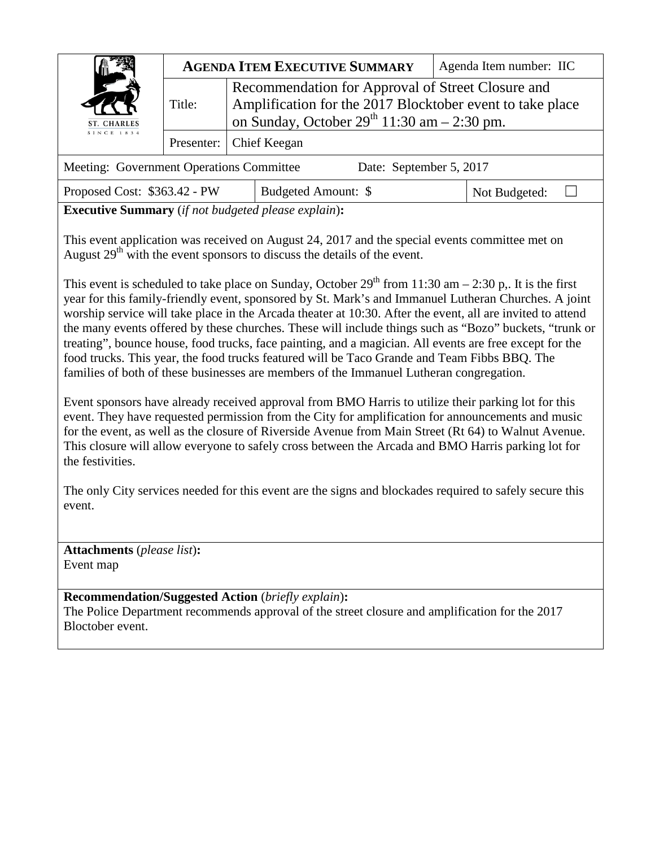| ST. CHARLES<br><b>SINCE 1834</b>                                    | <b>AGENDA ITEM EXECUTIVE SUMMARY</b> |                                                                                                                                                                      | Agenda Item number: IIC |
|---------------------------------------------------------------------|--------------------------------------|----------------------------------------------------------------------------------------------------------------------------------------------------------------------|-------------------------|
|                                                                     | Title:                               | Recommendation for Approval of Street Closure and<br>Amplification for the 2017 Blocktober event to take place<br>on Sunday, October $29^{th}$ 11:30 am $- 2:30$ pm. |                         |
|                                                                     |                                      | Presenter:   Chief Keegan                                                                                                                                            |                         |
| Meeting: Government Operations Committee<br>Date: September 5, 2017 |                                      |                                                                                                                                                                      |                         |

Proposed Cost: \$363.42 - PW Budgeted Amount: \$ Not Budgeted: □

**Executive Summary** (*if not budgeted please explain*)**:**

This event application was received on August 24, 2017 and the special events committee met on August  $29<sup>th</sup>$  with the event sponsors to discuss the details of the event.

This event is scheduled to take place on Sunday, October  $29<sup>th</sup>$  from 11:30 am – 2:30 p.. It is the first year for this family-friendly event, sponsored by St. Mark's and Immanuel Lutheran Churches. A joint worship service will take place in the Arcada theater at 10:30. After the event, all are invited to attend the many events offered by these churches. These will include things such as "Bozo" buckets, "trunk or treating", bounce house, food trucks, face painting, and a magician. All events are free except for the food trucks. This year, the food trucks featured will be Taco Grande and Team Fibbs BBQ. The families of both of these businesses are members of the Immanuel Lutheran congregation.

Event sponsors have already received approval from BMO Harris to utilize their parking lot for this event. They have requested permission from the City for amplification for announcements and music for the event, as well as the closure of Riverside Avenue from Main Street (Rt 64) to Walnut Avenue. This closure will allow everyone to safely cross between the Arcada and BMO Harris parking lot for the festivities.

The only City services needed for this event are the signs and blockades required to safely secure this event.

**Attachments** (*please list*)**:**  Event map

**Recommendation/Suggested Action** (*briefly explain*)**:** The Police Department recommends approval of the street closure and amplification for the 2017 Bloctober event.